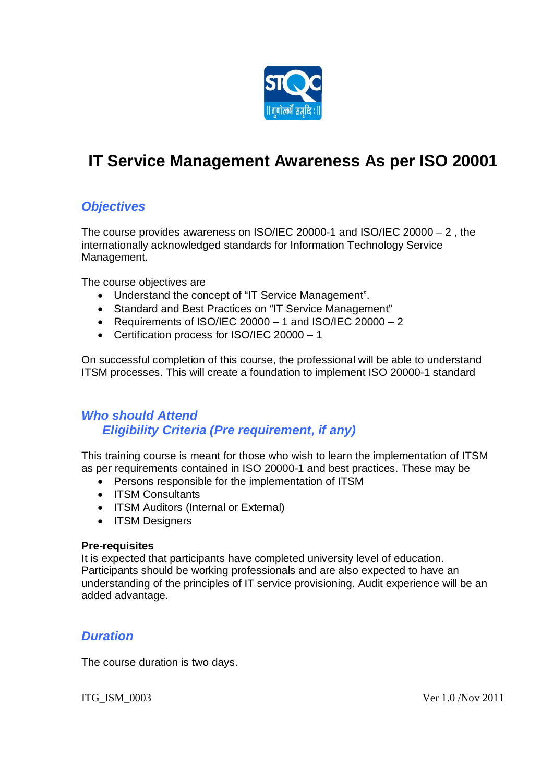

# **IT Service Management Awareness As per ISO 20001**

# *Objectives*

The course provides awareness on ISO/IEC 20000-1 and ISO/IEC 20000 – 2 , the internationally acknowledged standards for Information Technology Service Management.

The course objectives are

- Understand the concept of "IT Service Management".
- Standard and Best Practices on "IT Service Management"
- Requirements of ISO/IEC 20000  $-1$  and ISO/IEC 20000  $-2$
- Certification process for ISO/IEC 20000 1

On successful completion of this course, the professional will be able to understand ITSM processes. This will create a foundation to implement ISO 20000-1 standard

## *Who should Attend Eligibility Criteria (Pre requirement, if any)*

This training course is meant for those who wish to learn the implementation of ITSM as per requirements contained in ISO 20000-1 and best practices. These may be

- Persons responsible for the implementation of ITSM
- ITSM Consultants
- ITSM Auditors (Internal or External)
- ITSM Designers

#### **Pre-requisites**

It is expected that participants have completed university level of education. Participants should be working professionals and are also expected to have an understanding of the principles of IT service provisioning. Audit experience will be an added advantage.

#### *Duration*

The course duration is two days.